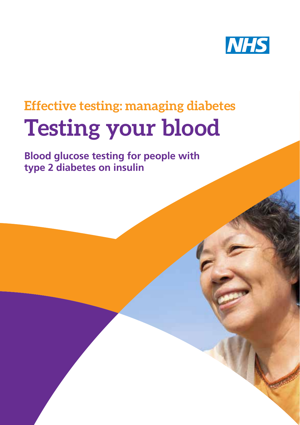

# **Effective testing: managing diabetes Testing your blood**

**Blood glucose testing for people with type 2 diabetes on insulin**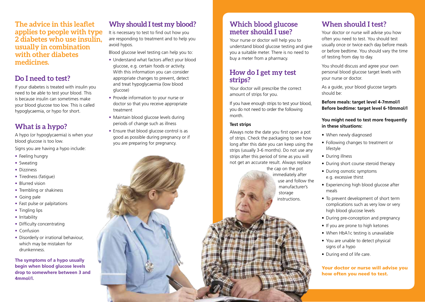**The advice in this leaflet applies to people with type 2 diabetes who use insulin, usually in combination with other diabetes medicines.**

## **Do I need to test?**

If your diabetes is treated with insulin you need to be able to test your blood. This is because insulin can sometimes make your blood glucose too low. This is called hypoglycaemia, or hypo for short.

## **What is a hypo?**

A hypo (or hypoglycaemia) is when your blood glucose is too low.

Signs you are having a hypo include:

- Feeling hungry
- Sweating
- Dizziness
- Tiredness (fatigue)
- Blurred vision
- Trembling or shakiness
- Going pale
- Fast pulse or palpitations
- Tingling lips
- Irritability
- Difficulty concentrating
- Confusion
- Disorderly or irrational behaviour, which may be mistaken for drunkenness.

**The symptoms of a hypo usually begin when blood glucose levels drop to somewhere between 3 and 4mmol/l.**

# **Why should I test my blood?**

It is necessary to test to find out how you are responding to treatment and to help you avoid hypos.

Blood glucose level testing can help you to:

- Understand what factors affect your blood glucose, e.g. certain foods or activity. With this information you can consider appropriate changes to prevent, detect and treat hypoglycaemia (low blood glucose)
- Provide information to your nurse or doctor so that you receive appropriate treatment
- Maintain blood glucose levels during periods of change such as illness
- Ensure that blood glucose control is as good as possible during pregnancy or if you are preparing for pregnancy.

## **Which blood glucose meter should I use?**

Your nurse or doctor will help you to understand blood glucose testing and give you a suitable meter. There is no need to buy a meter from a pharmacy.

## **How do I get my test strips?**

Your doctor will prescribe the correct amount of strips for you.

If you have enough strips to test your blood, you do not need to order the following month.

#### **Test strips**

Always note the date you first open a pot of strips. Check the packaging to see how long after this date you can keep using the strips (usually 3-6 months). Do not use any strips after this period of time as you will not get an accurate result. Always replace

the cap on the pot immediately after use and follow the manufacturer's storage instructions.

## **When should I test?**

Your doctor or nurse will advise you how often you need to test. You should test usually once or twice each day before meals or before bedtime. You should vary the time of testing from day to day.

You should discuss and agree your own personal blood glucose target levels with your nurse or doctor.

As a guide, your blood glucose targets should be:

**Before meals: target level 4-7mmol/l Before bedtime: target level 6-10mmol/l**

#### **You might need to test more frequently in these situations:**

- When newly diagnosed
- Following changes to treatment or lifestyle
- During illness
- During short course steroid therapy
- During osmotic symptoms e.g. excessive thirst
- Experiencing high blood glucose after meals
- To prevent development of short term complications such as very low or very high blood glucose levels
- During pre-conception and pregnancy
- If you are prone to high ketones
- When HbA1c testing is unavailable
- You are unable to detect physical signs of a hypo
- During end of life care.

Your doctor or nurse will advise you how often you need to test.